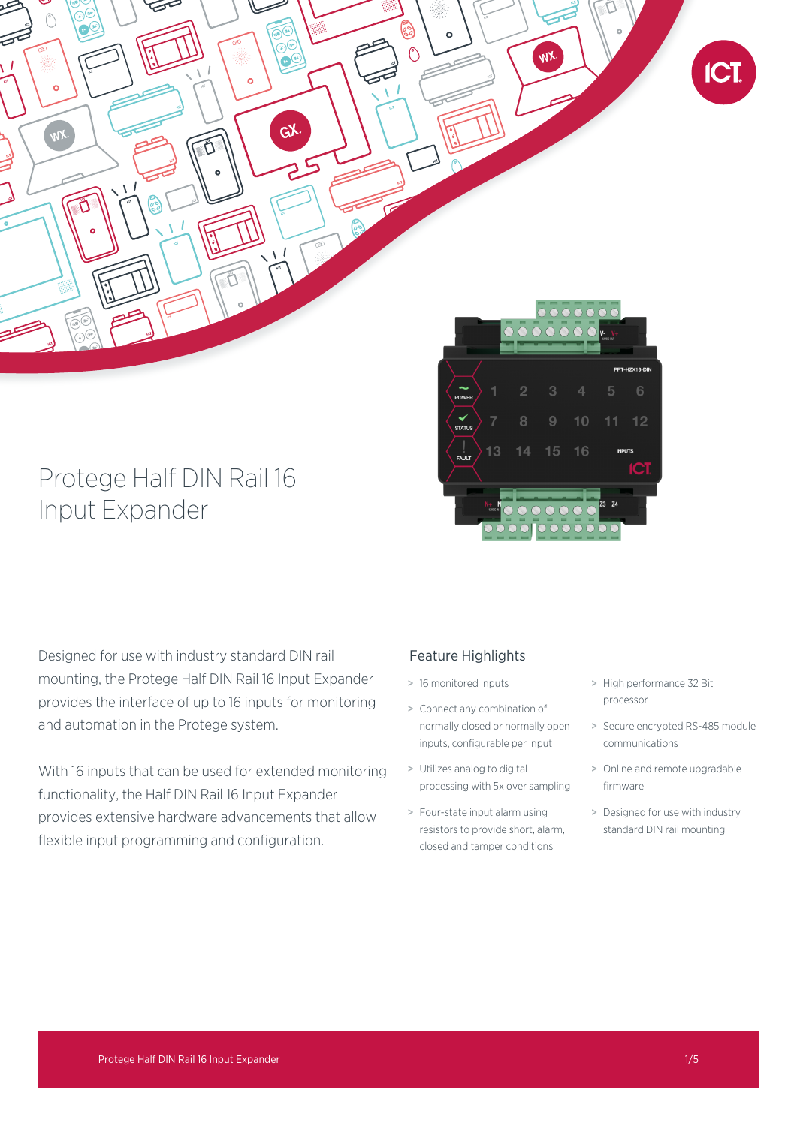

# Protege Half DIN Rail 16 Input Expander

Designed for use with industry standard DIN rail mounting, the Protege Half DIN Rail 16 Input Expander provides the interface of up to 16 inputs for monitoring and automation in the Protege system.

With 16 inputs that can be used for extended monitoring functionality, the Half DIN Rail 16 Input Expander provides extensive hardware advancements that allow flexible input programming and configuration.

# Feature Highlights

- > 16 monitored inputs
- > Connect any combination of normally closed or normally open inputs, configurable per input
- > Utilizes analog to digital processing with 5x over sampling
- > Four-state input alarm using resistors to provide short, alarm, closed and tamper conditions
- > High performance 32 Bit processor

 $16$ 

 $15$ 

- > Secure encrypted RS-485 module communications
- > Online and remote upgradable firmware
- > Designed for use with industry standard DIN rail mounting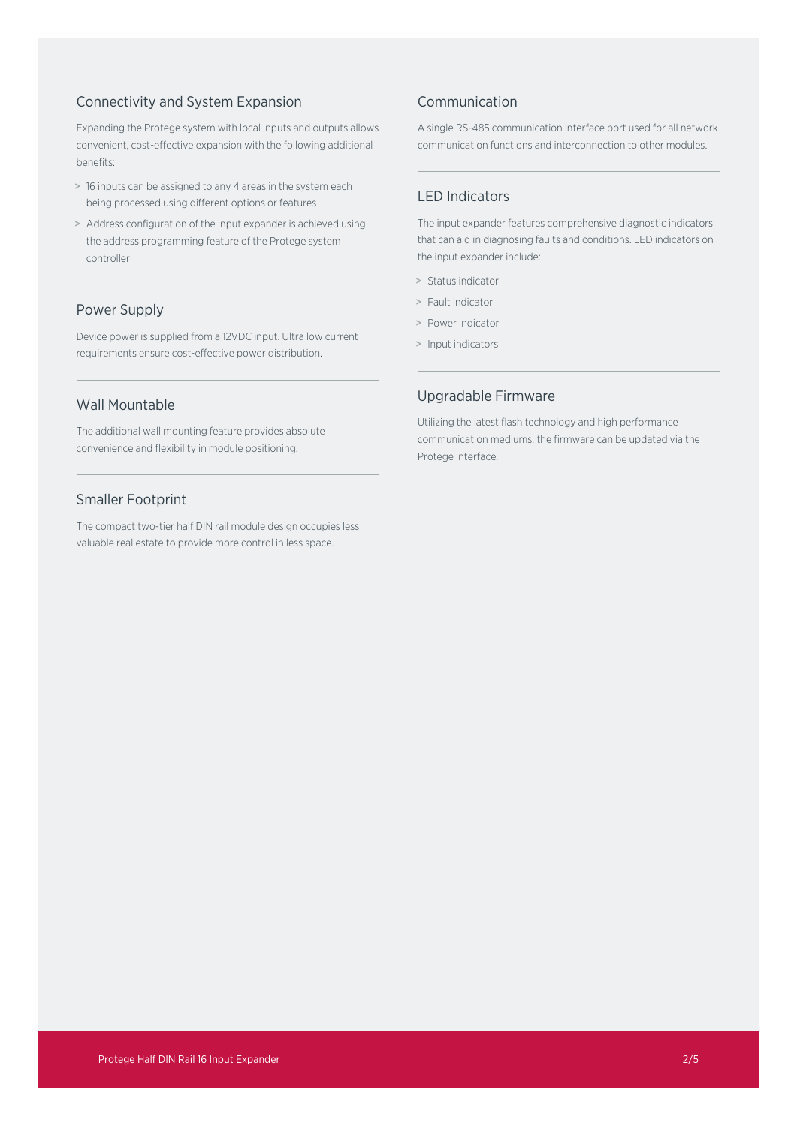## Connectivity and System Expansion

Expanding the Protege system with local inputs and outputs allows convenient, cost-effective expansion with the following additional benefits:

- > 16 inputs can be assigned to any 4 areas in the system each being processed using different options or features
- > Address configuration of the input expander is achieved using the address programming feature of the Protege system controller

## Power Supply

Device power is supplied from a 12VDC input. Ultra low current requirements ensure cost-effective power distribution.

## Wall Mountable

The additional wall mounting feature provides absolute convenience and flexibility in module positioning.

## Smaller Footprint

The compact two-tier half DIN rail module design occupies less valuable real estate to provide more control in less space.

## Communication

A single RS-485 communication interface port used for all network communication functions and interconnection to other modules.

## LED Indicators

The input expander features comprehensive diagnostic indicators that can aid in diagnosing faults and conditions. LED indicators on the input expander include:

- > Status indicator
- > Fault indicator
- > Power indicator
- > Input indicators

## Upgradable Firmware

Utilizing the latest flash technology and high performance communication mediums, the firmware can be updated via the Protege interface.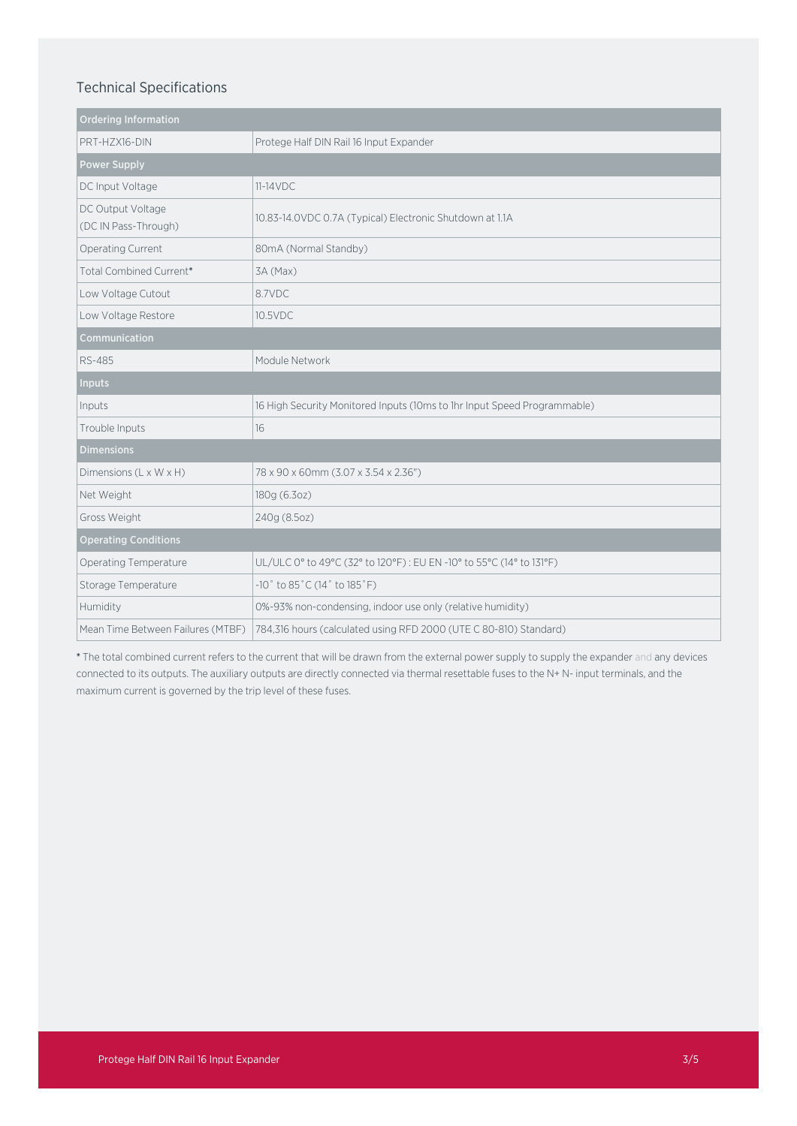# Technical Specifications

| <b>Ordering Information</b>               |                                                                          |
|-------------------------------------------|--------------------------------------------------------------------------|
| PRT-HZX16-DIN                             | Protege Half DIN Rail 16 Input Expander                                  |
| <b>Power Supply</b>                       |                                                                          |
| DC Input Voltage                          | $11-14VDC$                                                               |
| DC Output Voltage<br>(DC IN Pass-Through) | 10.83-14.0VDC 0.7A (Typical) Electronic Shutdown at 1.1A                 |
| Operating Current                         | 80mA (Normal Standby)                                                    |
| Total Combined Current*                   | 3A (Max)                                                                 |
| Low Voltage Cutout                        | 8.7VDC                                                                   |
| Low Voltage Restore                       | 10.5VDC                                                                  |
| Communication                             |                                                                          |
| RS-485                                    | Module Network                                                           |
| <b>Inputs</b>                             |                                                                          |
| Inputs                                    | 16 High Security Monitored Inputs (10ms to 1hr Input Speed Programmable) |
| Trouble Inputs                            | 16                                                                       |
| <b>Dimensions</b>                         |                                                                          |
| Dimensions (L x W x H)                    | 78 x 90 x 60mm (3.07 x 3.54 x 2.36")                                     |
| Net Weight                                | 180g (6.3oz)                                                             |
| Gross Weight                              | 240g (8.5oz)                                                             |
| <b>Operating Conditions</b>               |                                                                          |
| <b>Operating Temperature</b>              | UL/ULC 0° to 49°C (32° to 120°F) : EU EN -10° to 55°C (14° to 131°F)     |
| Storage Temperature                       | -10° to 85°C (14° to 185°F)                                              |
| Humidity                                  | 0%-93% non-condensing, indoor use only (relative humidity)               |
| Mean Time Between Failures (MTBF)         | 784,316 hours (calculated using RFD 2000 (UTE C 80-810) Standard)        |

\* The total combined current refers to the current that will be drawn from the external power supply to supply the expander and any devices connected to its outputs. The auxiliary outputs are directly connected via thermal resettable fuses to the N+ N- input terminals, and the maximum current is governed by the trip level of these fuses.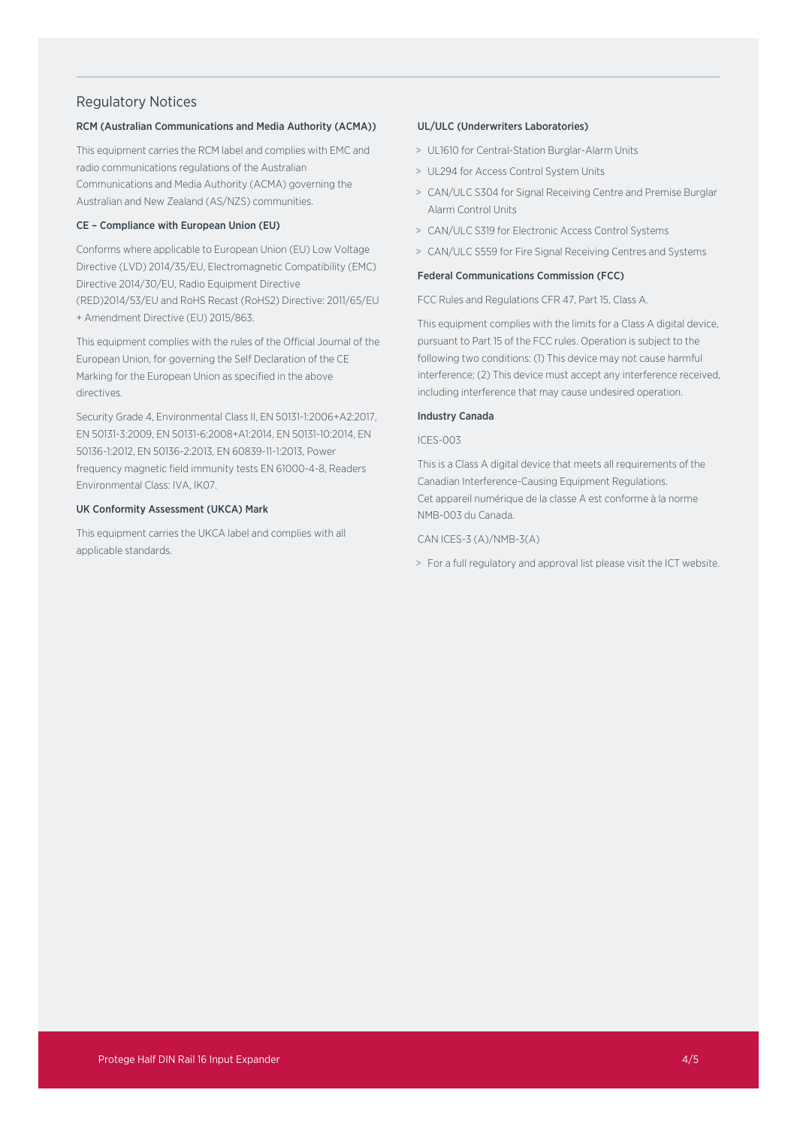## Regulatory Notices

### RCM (Australian Communications and Media Authority (ACMA))

This equipment carries the RCM label and complies with EMC and radio communications regulations of the Australian Communications and Media Authority (ACMA) governing the Australian and New Zealand (AS/NZS) communities.

#### CE – Compliance with European Union (EU)

Conforms where applicable to European Union (EU) Low Voltage Directive (LVD) 2014/35/EU, Electromagnetic Compatibility (EMC) Directive 2014/30/EU, Radio Equipment Directive (RED)2014/53/EU and RoHS Recast (RoHS2) Directive: 2011/65/EU + Amendment Directive (EU) 2015/863.

This equipment complies with the rules of the Official Journal of the European Union, for governing the Self Declaration of the CE Marking for the European Union as specified in the above directives.

Security Grade 4, Environmental Class II, EN 50131-1:2006+A2:2017, EN 50131-3:2009, EN 50131-6:2008+A1:2014, EN 50131-10:2014, EN 50136-1:2012, EN 50136-2:2013, EN 60839-11-1:2013, Power frequency magnetic field immunity tests EN 61000-4-8, Readers Environmental Class: IVA, IK07.

#### UK Conformity Assessment (UKCA) Mark

This equipment carries the UKCA label and complies with all applicable standards.

#### UL/ULC (Underwriters Laboratories)

- > UL1610 for Central-Station Burglar-Alarm Units
- > UL294 for Access Control System Units
- > CAN/ULC S304 for Signal Receiving Centre and Premise Burglar Alarm Control Units
- > CAN/ULC S319 for Electronic Access Control Systems
- > CAN/ULC S559 for Fire Signal Receiving Centres and Systems

#### Federal Communications Commission (FCC)

FCC Rules and Regulations CFR 47, Part 15, Class A.

This equipment complies with the limits for a Class A digital device, pursuant to Part 15 of the FCC rules. Operation is subject to the following two conditions: (1) This device may not cause harmful interference; (2) This device must accept any interference received, including interference that may cause undesired operation.

#### Industry Canada

#### ICES-003

This is a Class A digital device that meets all requirements of the Canadian Interference-Causing Equipment Regulations. Cet appareil numérique de la classe A est conforme à la norme NMB-003 du Canada.

#### CAN ICES-3 (A)/NMB-3(A)

> For a full regulatory and approval list please visit the ICT website.